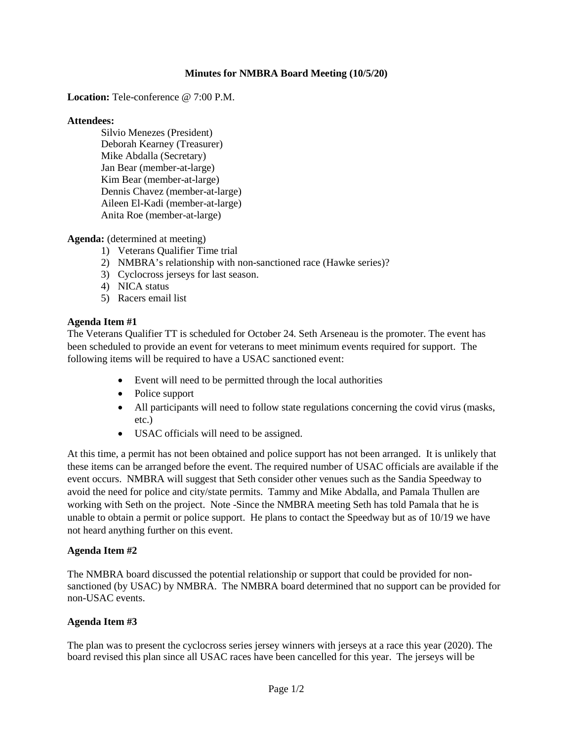### **Minutes for NMBRA Board Meeting (10/5/20)**

**Location:** Tele-conference @ 7:00 P.M.

#### **Attendees:**

Silvio Menezes (President) Deborah Kearney (Treasurer) Mike Abdalla (Secretary) Jan Bear (member-at-large) Kim Bear (member-at-large) Dennis Chavez (member-at-large) Aileen El-Kadi (member-at-large) Anita Roe (member-at-large)

#### **Agenda:** (determined at meeting)

- 1) Veterans Qualifier Time trial
- 2) NMBRA's relationship with non-sanctioned race (Hawke series)?
- 3) Cyclocross jerseys for last season.
- 4) NICA status
- 5) Racers email list

#### **Agenda Item #1**

The Veterans Qualifier TT is scheduled for October 24. Seth Arseneau is the promoter. The event has been scheduled to provide an event for veterans to meet minimum events required for support. The following items will be required to have a USAC sanctioned event:

- Event will need to be permitted through the local authorities
- Police support
- All participants will need to follow state regulations concerning the covid virus (masks, etc.)
- USAC officials will need to be assigned.

At this time, a permit has not been obtained and police support has not been arranged. It is unlikely that these items can be arranged before the event. The required number of USAC officials are available if the event occurs. NMBRA will suggest that Seth consider other venues such as the Sandia Speedway to avoid the need for police and city/state permits. Tammy and Mike Abdalla, and Pamala Thullen are working with Seth on the project. Note -Since the NMBRA meeting Seth has told Pamala that he is unable to obtain a permit or police support. He plans to contact the Speedway but as of 10/19 we have not heard anything further on this event.

#### **Agenda Item #2**

The NMBRA board discussed the potential relationship or support that could be provided for nonsanctioned (by USAC) by NMBRA. The NMBRA board determined that no support can be provided for non-USAC events.

#### **Agenda Item #3**

The plan was to present the cyclocross series jersey winners with jerseys at a race this year (2020). The board revised this plan since all USAC races have been cancelled for this year. The jerseys will be